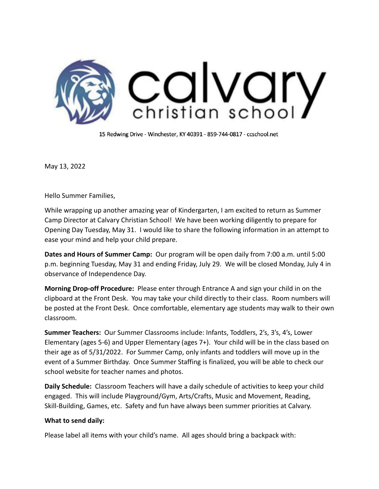

15 Redwing Drive - Winchester, KY 40391 - 859-744-0817 - ccschool.net

May 13, 2022

Hello Summer Families,

While wrapping up another amazing year of Kindergarten, I am excited to return as Summer Camp Director at Calvary Christian School! We have been working diligently to prepare for Opening Day Tuesday, May 31. I would like to share the following information in an attempt to ease your mind and help your child prepare.

**Dates and Hours of Summer Camp:** Our program will be open daily from 7:00 a.m. until 5:00 p.m. beginning Tuesday, May 31 and ending Friday, July 29. We will be closed Monday, July 4 in observance of Independence Day.

**Morning Drop-off Procedure:** Please enter through Entrance A and sign your child in on the clipboard at the Front Desk. You may take your child directly to their class. Room numbers will be posted at the Front Desk. Once comfortable, elementary age students may walk to their own classroom.

**Summer Teachers:** Our Summer Classrooms include: Infants, Toddlers, 2's, 3's, 4's, Lower Elementary (ages 5-6) and Upper Elementary (ages 7+). Your child will be in the class based on their age as of 5/31/2022. For Summer Camp, only infants and toddlers will move up in the event of a Summer Birthday. Once Summer Staffing is finalized, you will be able to check our school website for teacher names and photos.

**Daily Schedule:** Classroom Teachers will have a daily schedule of activities to keep your child engaged. This will include Playground/Gym, Arts/Crafts, Music and Movement, Reading, Skill-Building, Games, etc. Safety and fun have always been summer priorities at Calvary.

## **What to send daily:**

Please label all items with your child's name. All ages should bring a backpack with: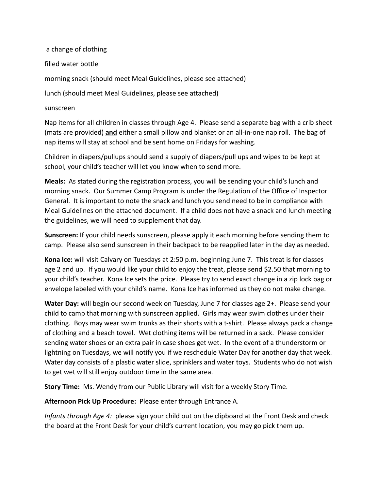a change of clothing filled water bottle morning snack (should meet Meal Guidelines, please see attached) lunch (should meet Meal Guidelines, please see attached)

## sunscreen

Nap items for all children in classes through Age 4. Please send a separate bag with a crib sheet (mats are provided) **and** either a small pillow and blanket or an all-in-one nap roll. The bag of nap items will stay at school and be sent home on Fridays for washing.

Children in diapers/pullups should send a supply of diapers/pull ups and wipes to be kept at school, your child's teacher will let you know when to send more.

**Meals:** As stated during the registration process, you will be sending your child's lunch and morning snack. Our Summer Camp Program is under the Regulation of the Office of Inspector General. It is important to note the snack and lunch you send need to be in compliance with Meal Guidelines on the attached document. If a child does not have a snack and lunch meeting the guidelines, we will need to supplement that day.

**Sunscreen:** If your child needs sunscreen, please apply it each morning before sending them to camp. Please also send sunscreen in their backpack to be reapplied later in the day as needed.

**Kona Ice:** will visit Calvary on Tuesdays at 2:50 p.m. beginning June 7. This treat is for classes age 2 and up. If you would like your child to enjoy the treat, please send \$2.50 that morning to your child's teacher. Kona Ice sets the price. Please try to send exact change in a zip lock bag or envelope labeled with your child's name. Kona Ice has informed us they do not make change.

**Water Day:** will begin our second week on Tuesday, June 7 for classes age 2+. Please send your child to camp that morning with sunscreen applied. Girls may wear swim clothes under their clothing. Boys may wear swim trunks as their shorts with a t-shirt. Please always pack a change of clothing and a beach towel. Wet clothing items will be returned in a sack. Please consider sending water shoes or an extra pair in case shoes get wet. In the event of a thunderstorm or lightning on Tuesdays, we will notify you if we reschedule Water Day for another day that week. Water day consists of a plastic water slide, sprinklers and water toys. Students who do not wish to get wet will still enjoy outdoor time in the same area.

**Story Time:** Ms. Wendy from our Public Library will visit for a weekly Story Time.

**Afternoon Pick Up Procedure:** Please enter through Entrance A.

*Infants through Age 4:* please sign your child out on the clipboard at the Front Desk and check the board at the Front Desk for your child's current location, you may go pick them up.